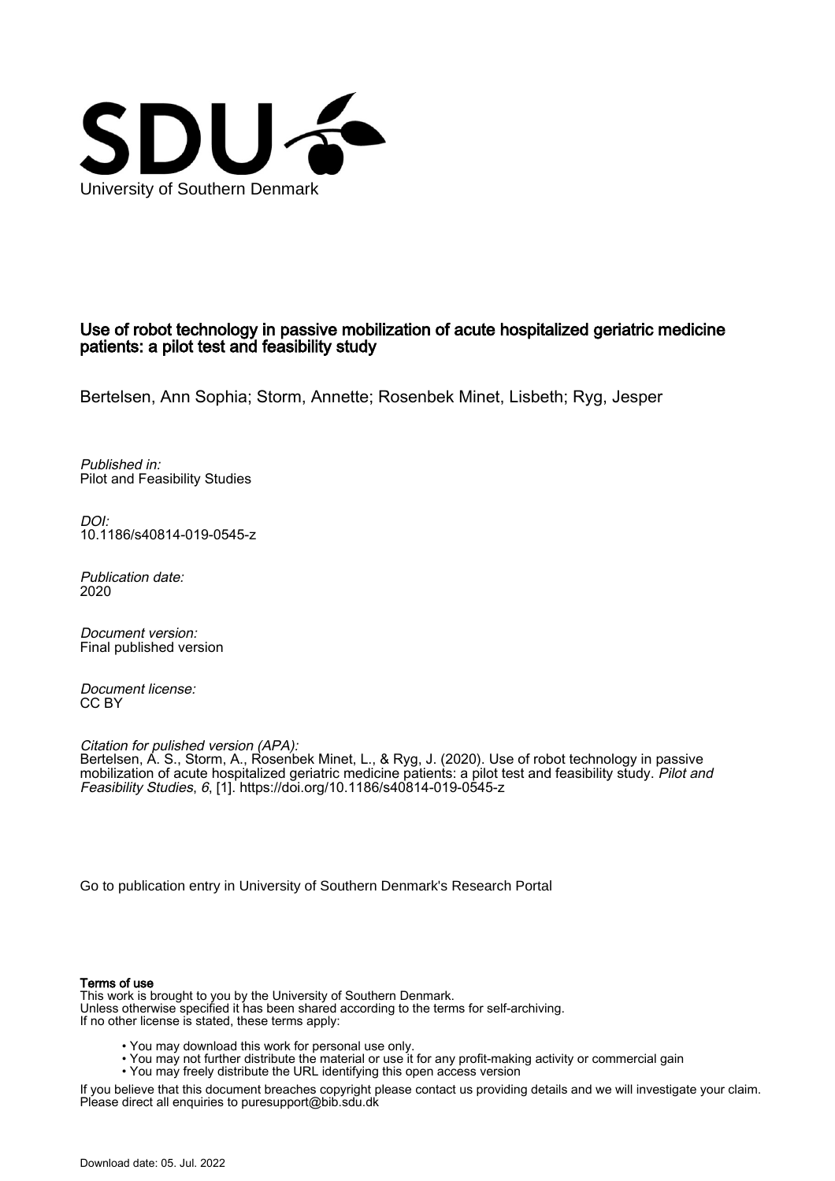

# Use of robot technology in passive mobilization of acute hospitalized geriatric medicine patients: a pilot test and feasibility study

Bertelsen, Ann Sophia; Storm, Annette; Rosenbek Minet, Lisbeth; Ryg, Jesper

Published in: Pilot and Feasibility Studies

DOI: [10.1186/s40814-019-0545-z](https://doi.org/10.1186/s40814-019-0545-z)

Publication date: 2020

Document version: Final published version

Document license: CC BY

Citation for pulished version (APA):

Bertelsen, A. S., Storm, A., Rosenbek Minet, L., & Ryg, J. (2020). Use of robot technology in passive mobilization of acute hospitalized geriatric medicine patients: a pilot test and feasibility study. Pilot and Feasibility Studies, 6, [1]. <https://doi.org/10.1186/s40814-019-0545-z>

[Go to publication entry in University of Southern Denmark's Research Portal](https://portal.findresearcher.sdu.dk/en/publications/da4d6c18-37cd-4661-97f5-9fec475e0f48)

#### Terms of use

This work is brought to you by the University of Southern Denmark. Unless otherwise specified it has been shared according to the terms for self-archiving. If no other license is stated, these terms apply:

- You may download this work for personal use only.
- You may not further distribute the material or use it for any profit-making activity or commercial gain
	- You may freely distribute the URL identifying this open access version

If you believe that this document breaches copyright please contact us providing details and we will investigate your claim. Please direct all enquiries to puresupport@bib.sdu.dk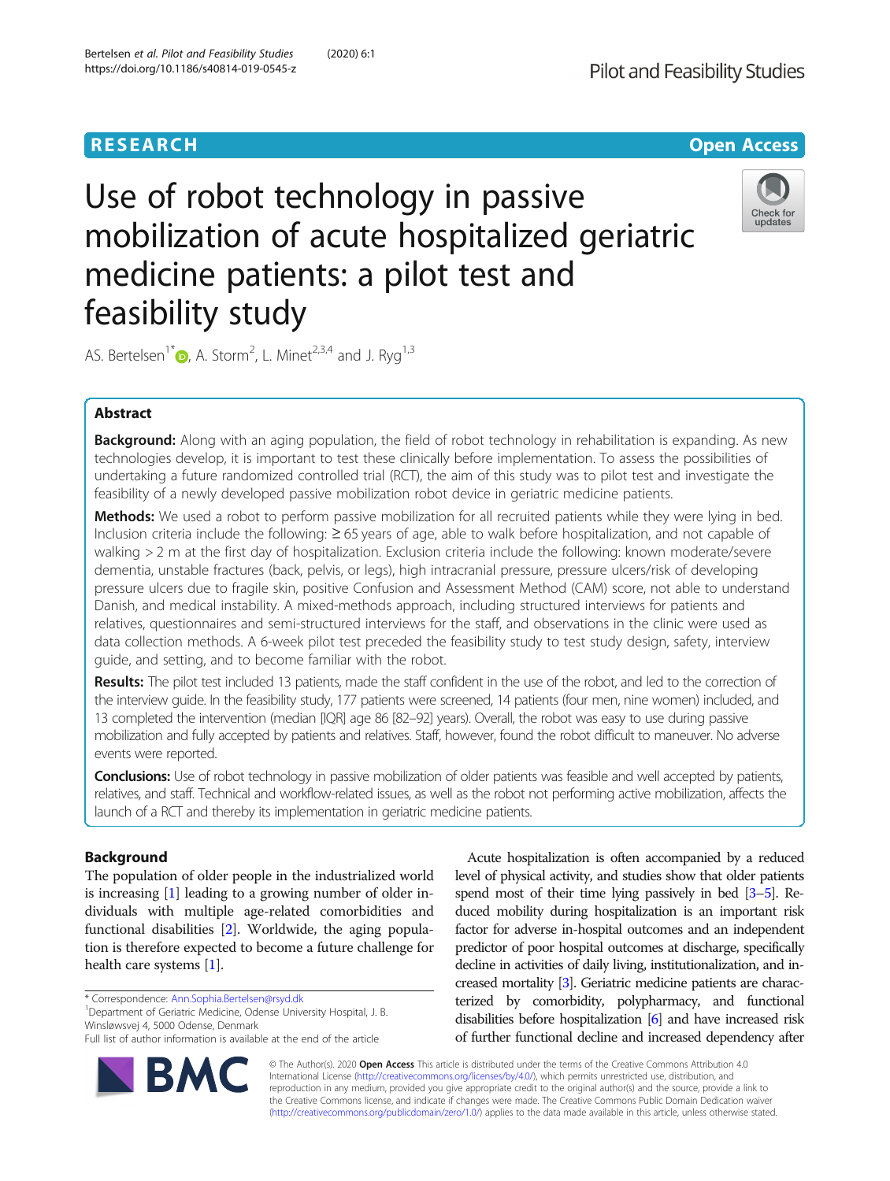

# Use of robot technology in passive mobilization of acute hospitalized geriatric medicine patients: a pilot test and feasibility study



AS. Bertelsen<sup>1[\\*](http://orcid.org/0000-0003-3158-7898)</sup> $\bullet$ , A. Storm<sup>2</sup>, L. Minet<sup>2,3,4</sup> and J. Ryg<sup>1,3</sup>

# Abstract

Background: Along with an aging population, the field of robot technology in rehabilitation is expanding. As new technologies develop, it is important to test these clinically before implementation. To assess the possibilities of undertaking a future randomized controlled trial (RCT), the aim of this study was to pilot test and investigate the feasibility of a newly developed passive mobilization robot device in geriatric medicine patients.

Methods: We used a robot to perform passive mobilization for all recruited patients while they were lying in bed. Inclusion criteria include the following: ≥ 65 years of age, able to walk before hospitalization, and not capable of walking > 2 m at the first day of hospitalization. Exclusion criteria include the following: known moderate/severe dementia, unstable fractures (back, pelvis, or legs), high intracranial pressure, pressure ulcers/risk of developing pressure ulcers due to fragile skin, positive Confusion and Assessment Method (CAM) score, not able to understand Danish, and medical instability. A mixed-methods approach, including structured interviews for patients and relatives, questionnaires and semi-structured interviews for the staff, and observations in the clinic were used as data collection methods. A 6-week pilot test preceded the feasibility study to test study design, safety, interview guide, and setting, and to become familiar with the robot.

Results: The pilot test included 13 patients, made the staff confident in the use of the robot, and led to the correction of the interview guide. In the feasibility study, 177 patients were screened, 14 patients (four men, nine women) included, and 13 completed the intervention (median [IQR] age 86 [82–92] years). Overall, the robot was easy to use during passive mobilization and fully accepted by patients and relatives. Staff, however, found the robot difficult to maneuver. No adverse events were reported.

Conclusions: Use of robot technology in passive mobilization of older patients was feasible and well accepted by patients, relatives, and staff. Technical and workflow-related issues, as well as the robot not performing active mobilization, affects the launch of a RCT and thereby its implementation in geriatric medicine patients.

# Background

The population of older people in the industrialized world is increasing [[1](#page-9-0)] leading to a growing number of older individuals with multiple age-related comorbidities and functional disabilities [[2\]](#page-9-0). Worldwide, the aging population is therefore expected to become a future challenge for health care systems [[1\]](#page-9-0).

<sup>1</sup> Department of Geriatric Medicine, Odense University Hospital, J. B. Winsløwsvej 4, 5000 Odense, Denmark

Full list of author information is available at the end of the article



Acute hospitalization is often accompanied by a reduced level of physical activity, and studies show that older patients spend most of their time lying passively in bed [\[3](#page-9-0)–[5](#page-9-0)]. Reduced mobility during hospitalization is an important risk factor for adverse in-hospital outcomes and an independent predictor of poor hospital outcomes at discharge, specifically decline in activities of daily living, institutionalization, and increased mortality [\[3\]](#page-9-0). Geriatric medicine patients are characterized by comorbidity, polypharmacy, and functional disabilities before hospitalization [\[6\]](#page-9-0) and have increased risk of further functional decline and increased dependency after

© The Author(s). 2020 **Open Access** This article is distributed under the terms of the Creative Commons Attribution 4.0 International License [\(http://creativecommons.org/licenses/by/4.0/](http://creativecommons.org/licenses/by/4.0/)), which permits unrestricted use, distribution, and reproduction in any medium, provided you give appropriate credit to the original author(s) and the source, provide a link to the Creative Commons license, and indicate if changes were made. The Creative Commons Public Domain Dedication waiver [\(http://creativecommons.org/publicdomain/zero/1.0/](http://creativecommons.org/publicdomain/zero/1.0/)) applies to the data made available in this article, unless otherwise stated.

<sup>\*</sup> Correspondence: [Ann.Sophia.Bertelsen@rsyd.dk](mailto:Ann.Sophia.Bertelsen@rsyd.dk) <sup>1</sup>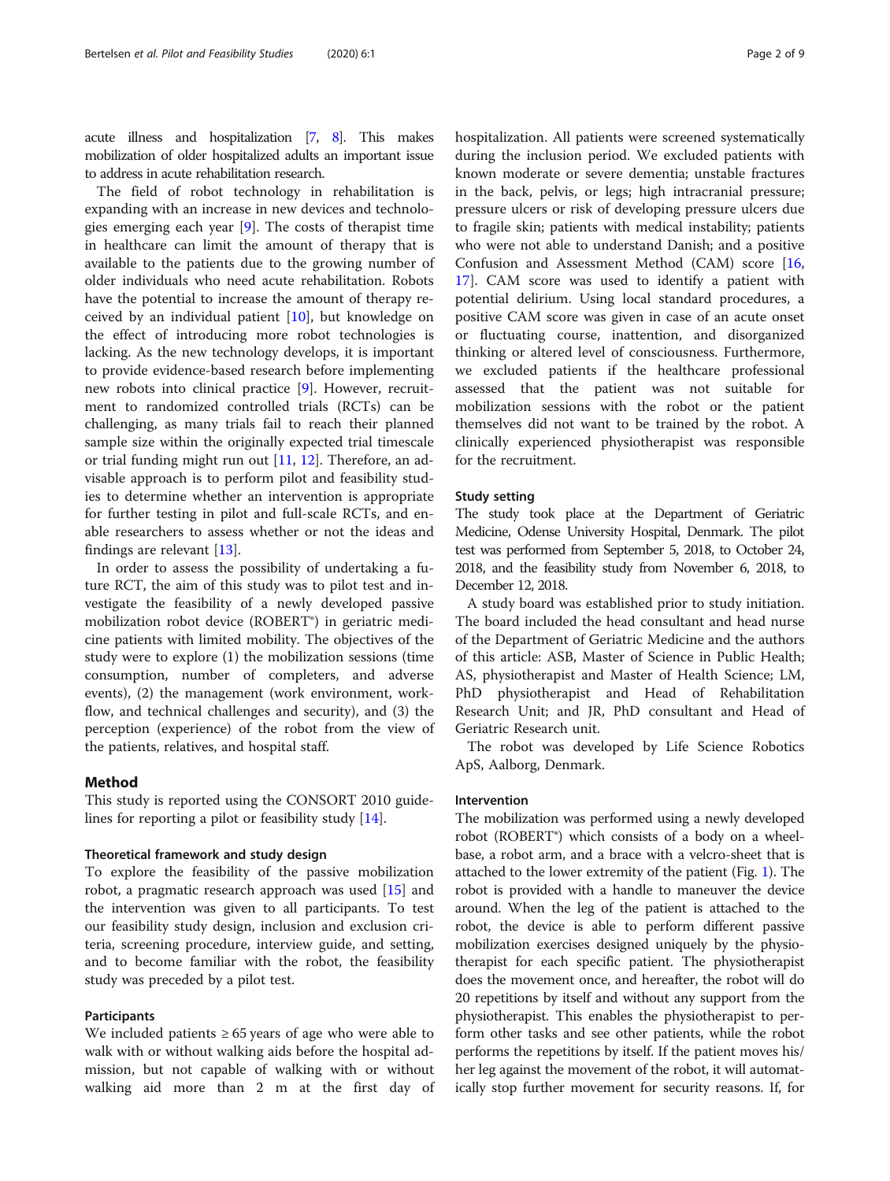acute illness and hospitalization [\[7,](#page-9-0) [8\]](#page-9-0). This makes mobilization of older hospitalized adults an important issue to address in acute rehabilitation research.

The field of robot technology in rehabilitation is expanding with an increase in new devices and technologies emerging each year  $[9]$  $[9]$ . The costs of therapist time in healthcare can limit the amount of therapy that is available to the patients due to the growing number of older individuals who need acute rehabilitation. Robots have the potential to increase the amount of therapy received by an individual patient [[10\]](#page-9-0), but knowledge on the effect of introducing more robot technologies is lacking. As the new technology develops, it is important to provide evidence-based research before implementing new robots into clinical practice [[9\]](#page-9-0). However, recruitment to randomized controlled trials (RCTs) can be challenging, as many trials fail to reach their planned sample size within the originally expected trial timescale or trial funding might run out [\[11,](#page-9-0) [12\]](#page-9-0). Therefore, an advisable approach is to perform pilot and feasibility studies to determine whether an intervention is appropriate for further testing in pilot and full-scale RCTs, and enable researchers to assess whether or not the ideas and findings are relevant [\[13](#page-9-0)].

In order to assess the possibility of undertaking a future RCT, the aim of this study was to pilot test and investigate the feasibility of a newly developed passive mobilization robot device (ROBERT®) in geriatric medicine patients with limited mobility. The objectives of the study were to explore (1) the mobilization sessions (time consumption, number of completers, and adverse events), (2) the management (work environment, workflow, and technical challenges and security), and (3) the perception (experience) of the robot from the view of the patients, relatives, and hospital staff.

#### Method

This study is reported using the CONSORT 2010 guidelines for reporting a pilot or feasibility study [[14\]](#page-9-0).

# Theoretical framework and study design

To explore the feasibility of the passive mobilization robot, a pragmatic research approach was used [\[15\]](#page-9-0) and the intervention was given to all participants. To test our feasibility study design, inclusion and exclusion criteria, screening procedure, interview guide, and setting, and to become familiar with the robot, the feasibility study was preceded by a pilot test.

# Participants

We included patients  $\geq 65$  years of age who were able to walk with or without walking aids before the hospital admission, but not capable of walking with or without walking aid more than 2 m at the first day of hospitalization. All patients were screened systematically during the inclusion period. We excluded patients with known moderate or severe dementia; unstable fractures in the back, pelvis, or legs; high intracranial pressure; pressure ulcers or risk of developing pressure ulcers due to fragile skin; patients with medical instability; patients who were not able to understand Danish; and a positive Confusion and Assessment Method (CAM) score [[16](#page-9-0), [17\]](#page-9-0). CAM score was used to identify a patient with potential delirium. Using local standard procedures, a positive CAM score was given in case of an acute onset or fluctuating course, inattention, and disorganized thinking or altered level of consciousness. Furthermore, we excluded patients if the healthcare professional assessed that the patient was not suitable for mobilization sessions with the robot or the patient themselves did not want to be trained by the robot. A clinically experienced physiotherapist was responsible for the recruitment.

# Study setting

The study took place at the Department of Geriatric Medicine, Odense University Hospital, Denmark. The pilot test was performed from September 5, 2018, to October 24, 2018, and the feasibility study from November 6, 2018, to December 12, 2018.

A study board was established prior to study initiation. The board included the head consultant and head nurse of the Department of Geriatric Medicine and the authors of this article: ASB, Master of Science in Public Health; AS, physiotherapist and Master of Health Science; LM, PhD physiotherapist and Head of Rehabilitation Research Unit; and JR, PhD consultant and Head of Geriatric Research unit.

The robot was developed by Life Science Robotics ApS, Aalborg, Denmark.

#### Intervention

The mobilization was performed using a newly developed robot (ROBERT®) which consists of a body on a wheelbase, a robot arm, and a brace with a velcro-sheet that is attached to the lower extremity of the patient (Fig. [1\)](#page-3-0). The robot is provided with a handle to maneuver the device around. When the leg of the patient is attached to the robot, the device is able to perform different passive mobilization exercises designed uniquely by the physiotherapist for each specific patient. The physiotherapist does the movement once, and hereafter, the robot will do 20 repetitions by itself and without any support from the physiotherapist. This enables the physiotherapist to perform other tasks and see other patients, while the robot performs the repetitions by itself. If the patient moves his/ her leg against the movement of the robot, it will automatically stop further movement for security reasons. If, for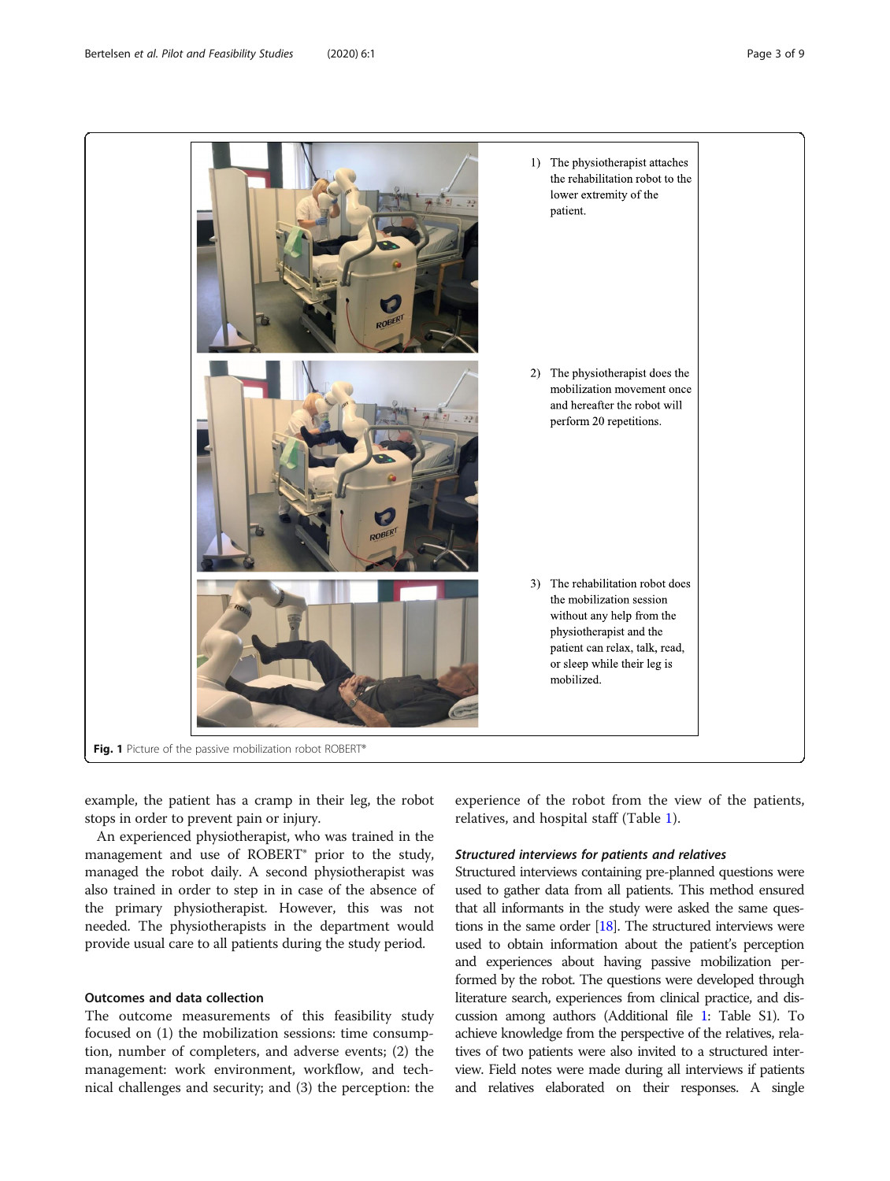example, the patient has a cramp in their leg, the robot stops in order to prevent pain or injury.

An experienced physiotherapist, who was trained in the management and use of ROBERT® prior to the study, managed the robot daily. A second physiotherapist was also trained in order to step in in case of the absence of the primary physiotherapist. However, this was not needed. The physiotherapists in the department would provide usual care to all patients during the study period.

# Outcomes and data collection

The outcome measurements of this feasibility study focused on (1) the mobilization sessions: time consumption, number of completers, and adverse events; (2) the management: work environment, workflow, and technical challenges and security; and (3) the perception: the experience of the robot from the view of the patients, relatives, and hospital staff (Table [1](#page-4-0)).

#### Structured interviews for patients and relatives

Structured interviews containing pre-planned questions were used to gather data from all patients. This method ensured that all informants in the study were asked the same questions in the same order [\[18](#page-9-0)]. The structured interviews were used to obtain information about the patient's perception and experiences about having passive mobilization performed by the robot. The questions were developed through literature search, experiences from clinical practice, and discussion among authors (Additional file [1:](#page-8-0) Table S1). To achieve knowledge from the perspective of the relatives, relatives of two patients were also invited to a structured interview. Field notes were made during all interviews if patients and relatives elaborated on their responses. A single

<span id="page-3-0"></span>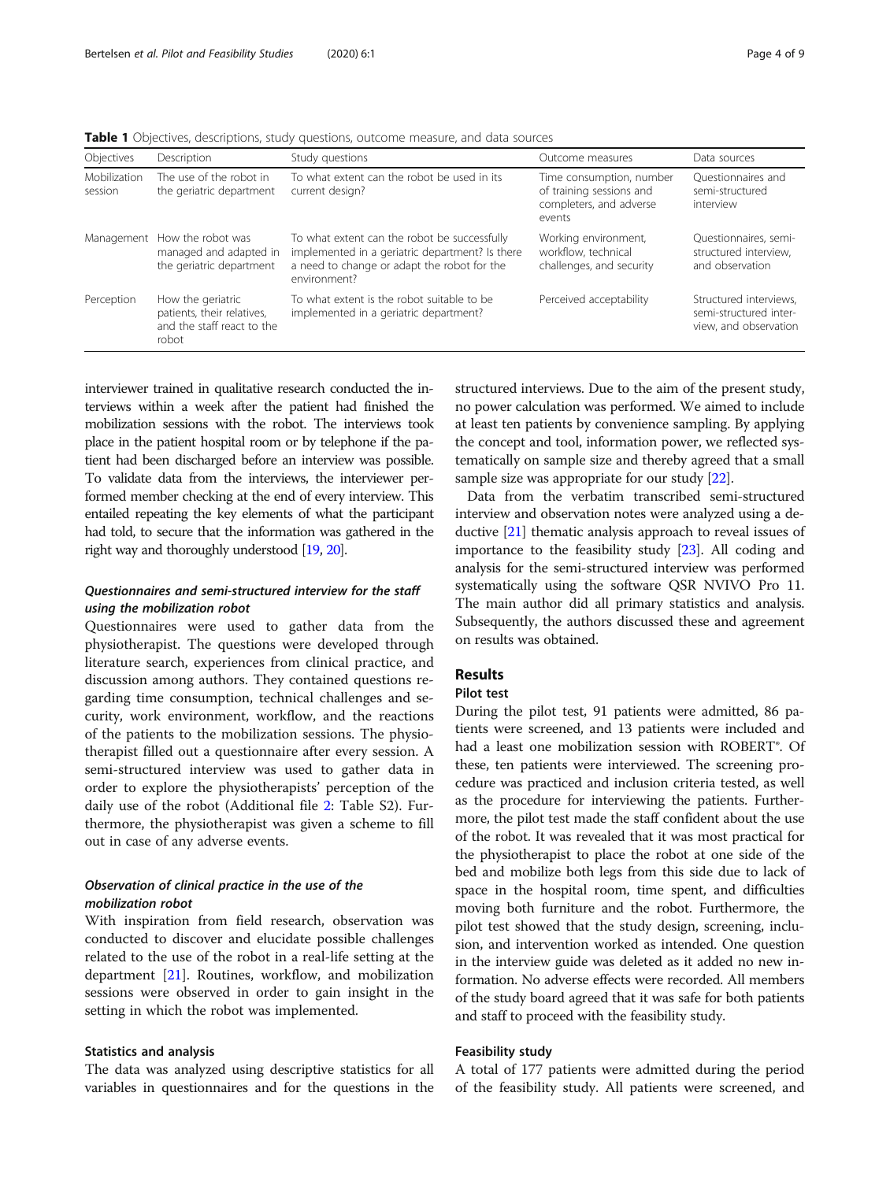<span id="page-4-0"></span>Table 1 Objectives, descriptions, study questions, outcome measure, and data sources

| Objectives              | Description                                                                            | Study questions                                                                                                                                                | Outcome measures                                                                          | Data sources                                                              |
|-------------------------|----------------------------------------------------------------------------------------|----------------------------------------------------------------------------------------------------------------------------------------------------------------|-------------------------------------------------------------------------------------------|---------------------------------------------------------------------------|
| Mobilization<br>session | The use of the robot in<br>the geriatric department                                    | To what extent can the robot be used in its<br>current design?                                                                                                 | Time consumption, number<br>of training sessions and<br>completers, and adverse<br>events | Ouestionnaires and<br>semi-structured<br>interview                        |
|                         | Management How the robot was<br>managed and adapted in<br>the geriatric department     | To what extent can the robot be successfully<br>implemented in a geriatric department? Is there<br>a need to change or adapt the robot for the<br>environment? | Working environment,<br>workflow, technical<br>challenges, and security                   | Questionnaires, semi-<br>structured interview.<br>and observation         |
| Perception              | How the geriatric<br>patients, their relatives,<br>and the staff react to the<br>robot | To what extent is the robot suitable to be<br>implemented in a geriatric department?                                                                           | Perceived acceptability                                                                   | Structured interviews,<br>semi-structured inter-<br>view, and observation |

interviewer trained in qualitative research conducted the interviews within a week after the patient had finished the mobilization sessions with the robot. The interviews took place in the patient hospital room or by telephone if the patient had been discharged before an interview was possible. To validate data from the interviews, the interviewer performed member checking at the end of every interview. This entailed repeating the key elements of what the participant had told, to secure that the information was gathered in the right way and thoroughly understood [[19,](#page-9-0) [20\]](#page-9-0).

# Questionnaires and semi-structured interview for the staff using the mobilization robot

Questionnaires were used to gather data from the physiotherapist. The questions were developed through literature search, experiences from clinical practice, and discussion among authors. They contained questions regarding time consumption, technical challenges and security, work environment, workflow, and the reactions of the patients to the mobilization sessions. The physiotherapist filled out a questionnaire after every session. A semi-structured interview was used to gather data in order to explore the physiotherapists' perception of the daily use of the robot (Additional file [2](#page-8-0): Table S2). Furthermore, the physiotherapist was given a scheme to fill out in case of any adverse events.

# Observation of clinical practice in the use of the mobilization robot

With inspiration from field research, observation was conducted to discover and elucidate possible challenges related to the use of the robot in a real-life setting at the department [[21\]](#page-9-0). Routines, workflow, and mobilization sessions were observed in order to gain insight in the setting in which the robot was implemented.

#### Statistics and analysis

The data was analyzed using descriptive statistics for all variables in questionnaires and for the questions in the structured interviews. Due to the aim of the present study, no power calculation was performed. We aimed to include at least ten patients by convenience sampling. By applying the concept and tool, information power, we reflected systematically on sample size and thereby agreed that a small sample size was appropriate for our study [\[22](#page-9-0)].

Data from the verbatim transcribed semi-structured interview and observation notes were analyzed using a deductive [[21](#page-9-0)] thematic analysis approach to reveal issues of importance to the feasibility study [\[23\]](#page-9-0). All coding and analysis for the semi-structured interview was performed systematically using the software QSR NVIVO Pro 11. The main author did all primary statistics and analysis. Subsequently, the authors discussed these and agreement on results was obtained.

# Results

# Pilot test

During the pilot test, 91 patients were admitted, 86 patients were screened, and 13 patients were included and had a least one mobilization session with ROBERT®. Of these, ten patients were interviewed. The screening procedure was practiced and inclusion criteria tested, as well as the procedure for interviewing the patients. Furthermore, the pilot test made the staff confident about the use of the robot. It was revealed that it was most practical for the physiotherapist to place the robot at one side of the bed and mobilize both legs from this side due to lack of space in the hospital room, time spent, and difficulties moving both furniture and the robot. Furthermore, the pilot test showed that the study design, screening, inclusion, and intervention worked as intended. One question in the interview guide was deleted as it added no new information. No adverse effects were recorded. All members of the study board agreed that it was safe for both patients and staff to proceed with the feasibility study.

#### Feasibility study

A total of 177 patients were admitted during the period of the feasibility study. All patients were screened, and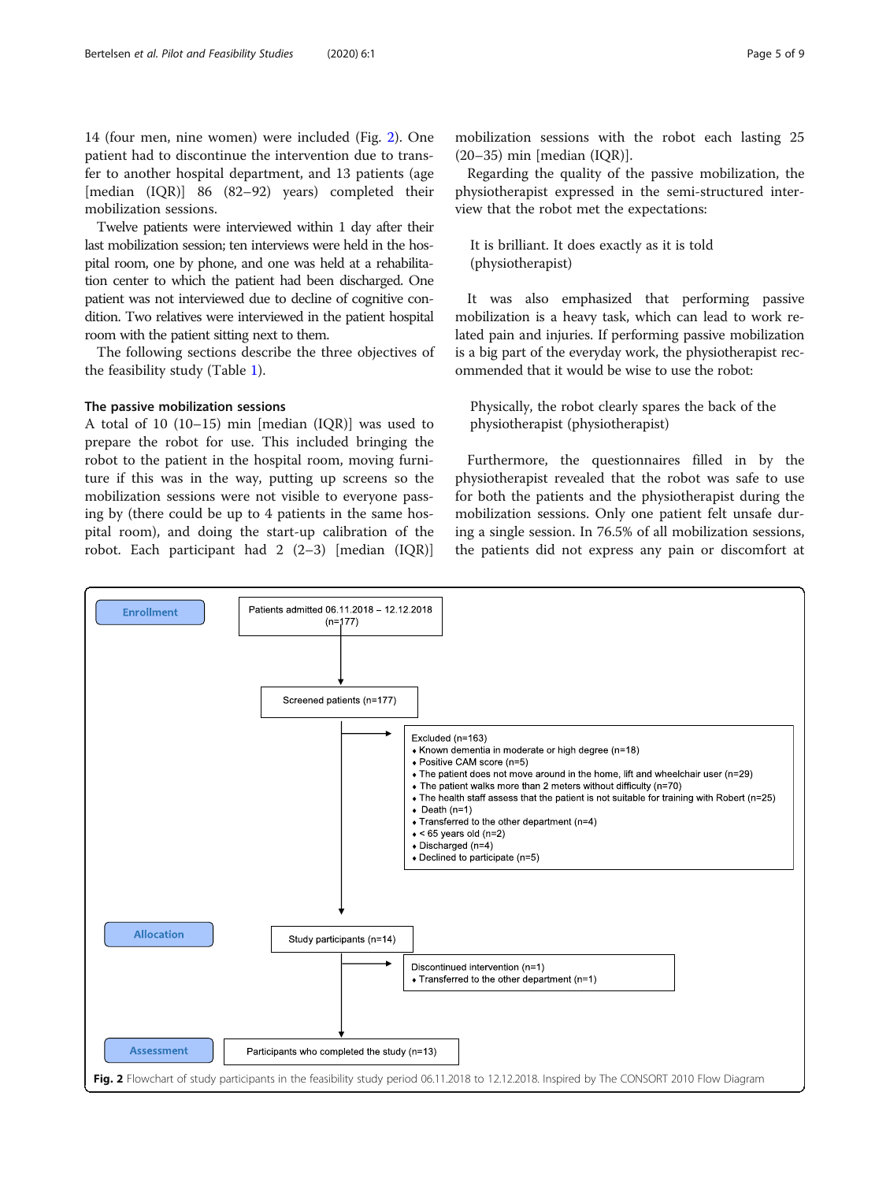14 (four men, nine women) were included (Fig. 2). One patient had to discontinue the intervention due to transfer to another hospital department, and 13 patients (age [median (IQR)] 86 (82–92) years) completed their mobilization sessions.

Twelve patients were interviewed within 1 day after their last mobilization session; ten interviews were held in the hospital room, one by phone, and one was held at a rehabilitation center to which the patient had been discharged. One patient was not interviewed due to decline of cognitive condition. Two relatives were interviewed in the patient hospital room with the patient sitting next to them.

The following sections describe the three objectives of the feasibility study (Table [1\)](#page-4-0).

## The passive mobilization sessions

A total of 10 (10–15) min [median (IQR)] was used to prepare the robot for use. This included bringing the robot to the patient in the hospital room, moving furniture if this was in the way, putting up screens so the mobilization sessions were not visible to everyone passing by (there could be up to 4 patients in the same hospital room), and doing the start-up calibration of the robot. Each participant had 2 (2–3) [median (IQR)] mobilization sessions with the robot each lasting 25 (20–35) min [median (IQR)].

Regarding the quality of the passive mobilization, the physiotherapist expressed in the semi-structured interview that the robot met the expectations:

It is brilliant. It does exactly as it is told (physiotherapist)

It was also emphasized that performing passive mobilization is a heavy task, which can lead to work related pain and injuries. If performing passive mobilization is a big part of the everyday work, the physiotherapist recommended that it would be wise to use the robot:

Physically, the robot clearly spares the back of the physiotherapist (physiotherapist)

Furthermore, the questionnaires filled in by the physiotherapist revealed that the robot was safe to use for both the patients and the physiotherapist during the mobilization sessions. Only one patient felt unsafe during a single session. In 76.5% of all mobilization sessions, the patients did not express any pain or discomfort at

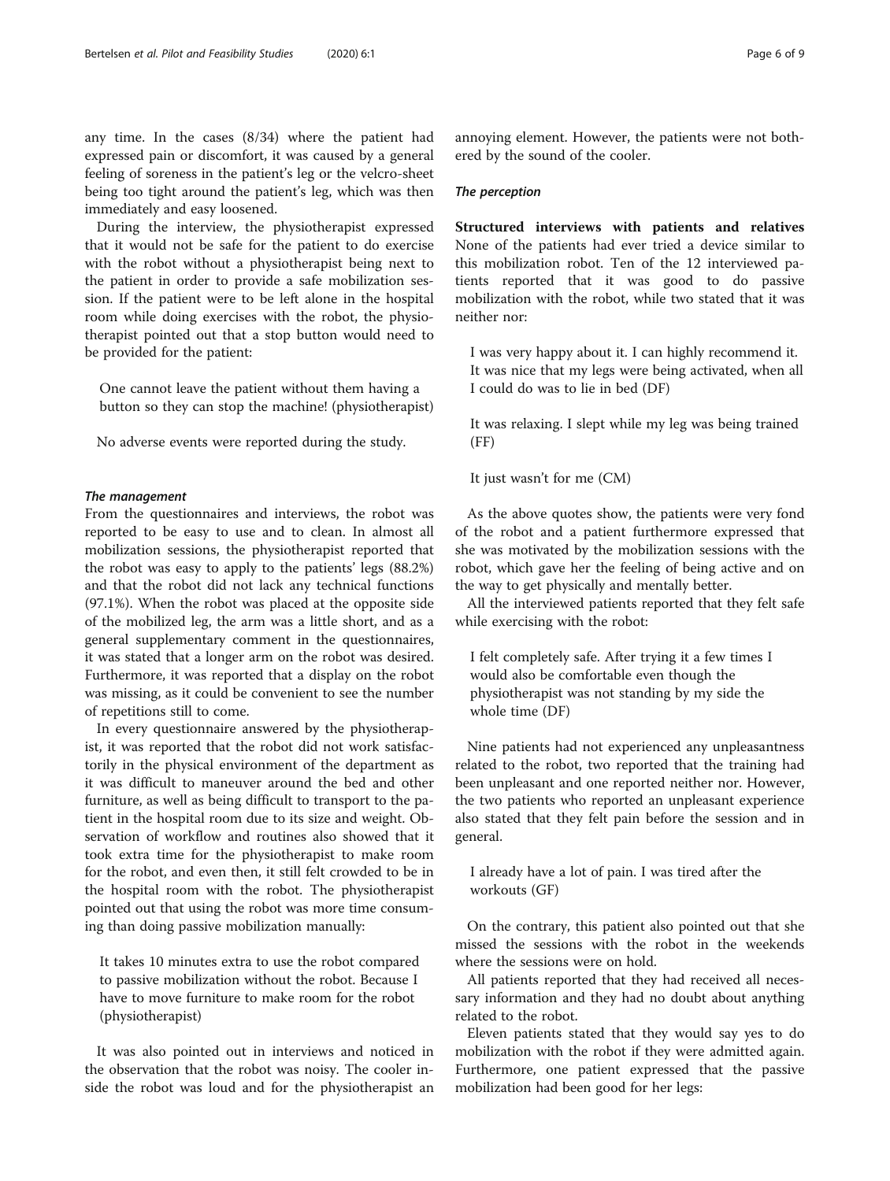any time. In the cases (8/34) where the patient had expressed pain or discomfort, it was caused by a general feeling of soreness in the patient's leg or the velcro-sheet being too tight around the patient's leg, which was then immediately and easy loosened.

During the interview, the physiotherapist expressed that it would not be safe for the patient to do exercise with the robot without a physiotherapist being next to the patient in order to provide a safe mobilization session. If the patient were to be left alone in the hospital room while doing exercises with the robot, the physiotherapist pointed out that a stop button would need to be provided for the patient:

One cannot leave the patient without them having a button so they can stop the machine! (physiotherapist)

No adverse events were reported during the study.

#### The management

From the questionnaires and interviews, the robot was reported to be easy to use and to clean. In almost all mobilization sessions, the physiotherapist reported that the robot was easy to apply to the patients' legs (88.2%) and that the robot did not lack any technical functions (97.1%). When the robot was placed at the opposite side of the mobilized leg, the arm was a little short, and as a general supplementary comment in the questionnaires, it was stated that a longer arm on the robot was desired. Furthermore, it was reported that a display on the robot was missing, as it could be convenient to see the number of repetitions still to come.

In every questionnaire answered by the physiotherapist, it was reported that the robot did not work satisfactorily in the physical environment of the department as it was difficult to maneuver around the bed and other furniture, as well as being difficult to transport to the patient in the hospital room due to its size and weight. Observation of workflow and routines also showed that it took extra time for the physiotherapist to make room for the robot, and even then, it still felt crowded to be in the hospital room with the robot. The physiotherapist pointed out that using the robot was more time consuming than doing passive mobilization manually:

It takes 10 minutes extra to use the robot compared to passive mobilization without the robot. Because I have to move furniture to make room for the robot (physiotherapist)

It was also pointed out in interviews and noticed in the observation that the robot was noisy. The cooler inside the robot was loud and for the physiotherapist an annoying element. However, the patients were not bothered by the sound of the cooler.

#### The perception

Structured interviews with patients and relatives None of the patients had ever tried a device similar to this mobilization robot. Ten of the 12 interviewed patients reported that it was good to do passive mobilization with the robot, while two stated that it was neither nor:

I was very happy about it. I can highly recommend it. It was nice that my legs were being activated, when all I could do was to lie in bed (DF)

It was relaxing. I slept while my leg was being trained (FF)

It just wasn't for me (CM)

As the above quotes show, the patients were very fond of the robot and a patient furthermore expressed that she was motivated by the mobilization sessions with the robot, which gave her the feeling of being active and on the way to get physically and mentally better.

All the interviewed patients reported that they felt safe while exercising with the robot:

I felt completely safe. After trying it a few times I would also be comfortable even though the physiotherapist was not standing by my side the whole time (DF)

Nine patients had not experienced any unpleasantness related to the robot, two reported that the training had been unpleasant and one reported neither nor. However, the two patients who reported an unpleasant experience also stated that they felt pain before the session and in general.

I already have a lot of pain. I was tired after the workouts (GF)

On the contrary, this patient also pointed out that she missed the sessions with the robot in the weekends where the sessions were on hold.

All patients reported that they had received all necessary information and they had no doubt about anything related to the robot.

Eleven patients stated that they would say yes to do mobilization with the robot if they were admitted again. Furthermore, one patient expressed that the passive mobilization had been good for her legs: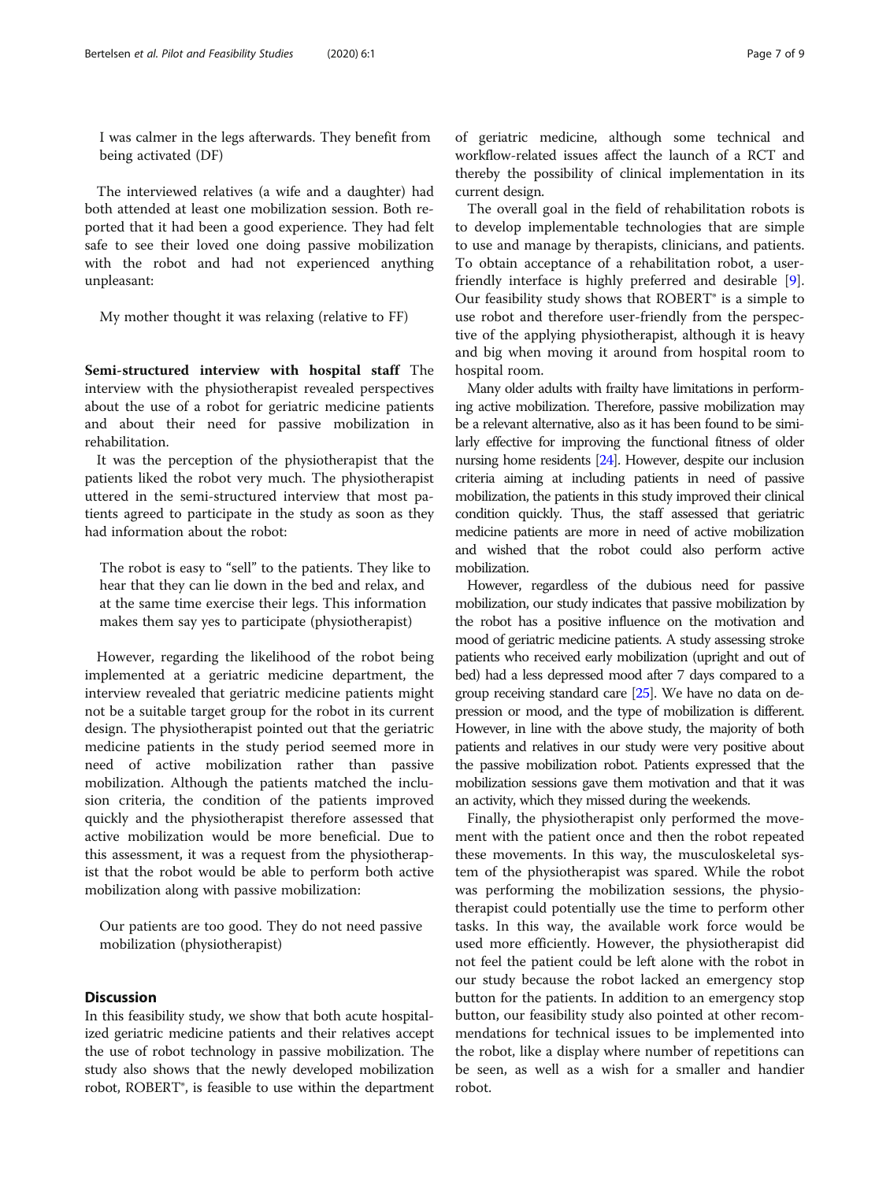I was calmer in the legs afterwards. They benefit from being activated (DF)

The interviewed relatives (a wife and a daughter) had both attended at least one mobilization session. Both reported that it had been a good experience. They had felt safe to see their loved one doing passive mobilization with the robot and had not experienced anything unpleasant:

My mother thought it was relaxing (relative to FF)

Semi-structured interview with hospital staff The interview with the physiotherapist revealed perspectives about the use of a robot for geriatric medicine patients and about their need for passive mobilization in rehabilitation.

It was the perception of the physiotherapist that the patients liked the robot very much. The physiotherapist uttered in the semi-structured interview that most patients agreed to participate in the study as soon as they had information about the robot:

The robot is easy to "sell" to the patients. They like to hear that they can lie down in the bed and relax, and at the same time exercise their legs. This information makes them say yes to participate (physiotherapist)

However, regarding the likelihood of the robot being implemented at a geriatric medicine department, the interview revealed that geriatric medicine patients might not be a suitable target group for the robot in its current design. The physiotherapist pointed out that the geriatric medicine patients in the study period seemed more in need of active mobilization rather than passive mobilization. Although the patients matched the inclusion criteria, the condition of the patients improved quickly and the physiotherapist therefore assessed that active mobilization would be more beneficial. Due to this assessment, it was a request from the physiotherapist that the robot would be able to perform both active mobilization along with passive mobilization:

Our patients are too good. They do not need passive mobilization (physiotherapist)

### **Discussion**

In this feasibility study, we show that both acute hospitalized geriatric medicine patients and their relatives accept the use of robot technology in passive mobilization. The study also shows that the newly developed mobilization robot, ROBERT®, is feasible to use within the department

of geriatric medicine, although some technical and workflow-related issues affect the launch of a RCT and thereby the possibility of clinical implementation in its current design.

The overall goal in the field of rehabilitation robots is to develop implementable technologies that are simple to use and manage by therapists, clinicians, and patients. To obtain acceptance of a rehabilitation robot, a userfriendly interface is highly preferred and desirable [\[9](#page-9-0)]. Our feasibility study shows that ROBERT® is a simple to use robot and therefore user-friendly from the perspective of the applying physiotherapist, although it is heavy and big when moving it around from hospital room to hospital room.

Many older adults with frailty have limitations in performing active mobilization. Therefore, passive mobilization may be a relevant alternative, also as it has been found to be similarly effective for improving the functional fitness of older nursing home residents [\[24\]](#page-9-0). However, despite our inclusion criteria aiming at including patients in need of passive mobilization, the patients in this study improved their clinical condition quickly. Thus, the staff assessed that geriatric medicine patients are more in need of active mobilization and wished that the robot could also perform active mobilization.

However, regardless of the dubious need for passive mobilization, our study indicates that passive mobilization by the robot has a positive influence on the motivation and mood of geriatric medicine patients. A study assessing stroke patients who received early mobilization (upright and out of bed) had a less depressed mood after 7 days compared to a group receiving standard care [[25\]](#page-9-0). We have no data on depression or mood, and the type of mobilization is different. However, in line with the above study, the majority of both patients and relatives in our study were very positive about the passive mobilization robot. Patients expressed that the mobilization sessions gave them motivation and that it was an activity, which they missed during the weekends.

Finally, the physiotherapist only performed the movement with the patient once and then the robot repeated these movements. In this way, the musculoskeletal system of the physiotherapist was spared. While the robot was performing the mobilization sessions, the physiotherapist could potentially use the time to perform other tasks. In this way, the available work force would be used more efficiently. However, the physiotherapist did not feel the patient could be left alone with the robot in our study because the robot lacked an emergency stop button for the patients. In addition to an emergency stop button, our feasibility study also pointed at other recommendations for technical issues to be implemented into the robot, like a display where number of repetitions can be seen, as well as a wish for a smaller and handier robot.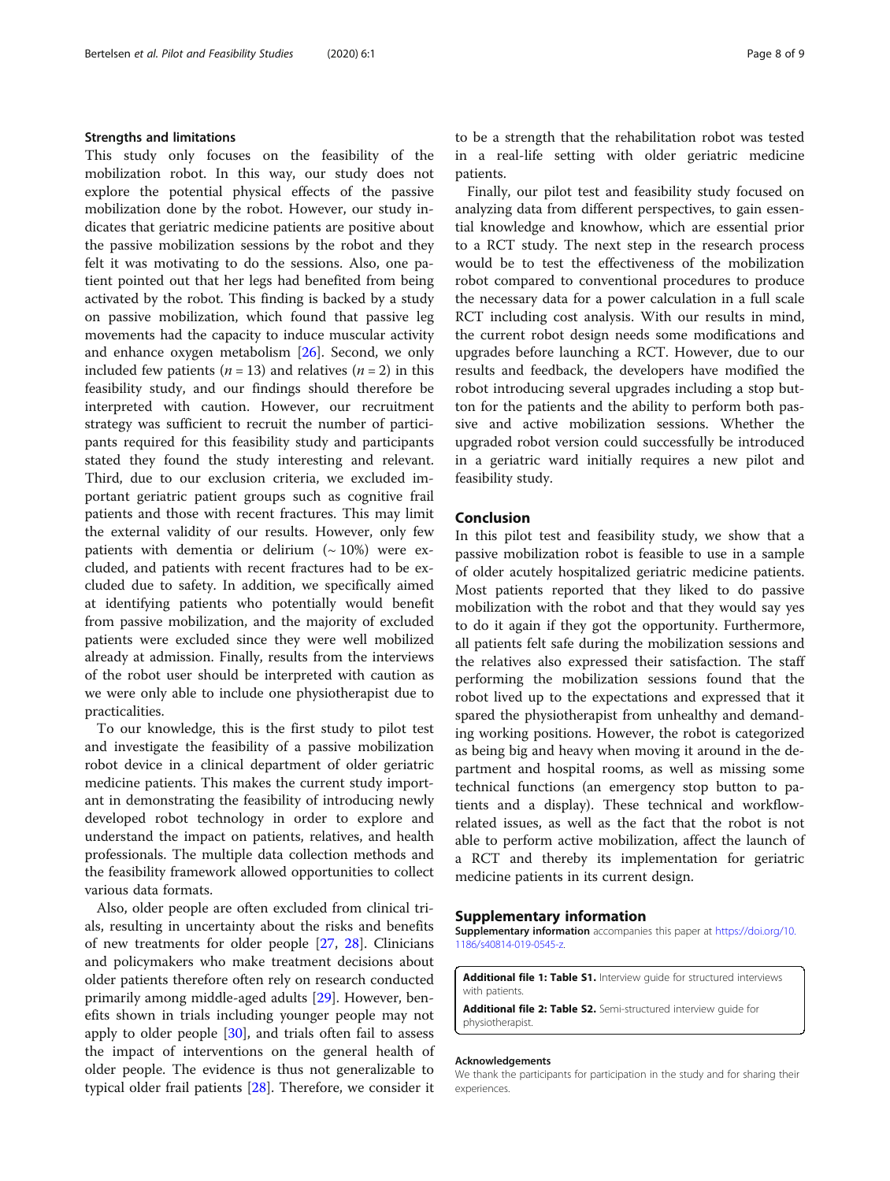# <span id="page-8-0"></span>Strengths and limitations

This study only focuses on the feasibility of the mobilization robot. In this way, our study does not explore the potential physical effects of the passive mobilization done by the robot. However, our study indicates that geriatric medicine patients are positive about the passive mobilization sessions by the robot and they felt it was motivating to do the sessions. Also, one patient pointed out that her legs had benefited from being activated by the robot. This finding is backed by a study on passive mobilization, which found that passive leg movements had the capacity to induce muscular activity and enhance oxygen metabolism [\[26\]](#page-9-0). Second, we only included few patients ( $n = 13$ ) and relatives ( $n = 2$ ) in this feasibility study, and our findings should therefore be interpreted with caution. However, our recruitment strategy was sufficient to recruit the number of participants required for this feasibility study and participants stated they found the study interesting and relevant. Third, due to our exclusion criteria, we excluded important geriatric patient groups such as cognitive frail patients and those with recent fractures. This may limit the external validity of our results. However, only few patients with dementia or delirium  $({\sim}10\%)$  were excluded, and patients with recent fractures had to be excluded due to safety. In addition, we specifically aimed at identifying patients who potentially would benefit from passive mobilization, and the majority of excluded patients were excluded since they were well mobilized already at admission. Finally, results from the interviews of the robot user should be interpreted with caution as we were only able to include one physiotherapist due to practicalities.

To our knowledge, this is the first study to pilot test and investigate the feasibility of a passive mobilization robot device in a clinical department of older geriatric medicine patients. This makes the current study important in demonstrating the feasibility of introducing newly developed robot technology in order to explore and understand the impact on patients, relatives, and health professionals. The multiple data collection methods and the feasibility framework allowed opportunities to collect various data formats.

Also, older people are often excluded from clinical trials, resulting in uncertainty about the risks and benefits of new treatments for older people [\[27](#page-9-0), [28](#page-9-0)]. Clinicians and policymakers who make treatment decisions about older patients therefore often rely on research conducted primarily among middle-aged adults [\[29\]](#page-9-0). However, benefits shown in trials including younger people may not apply to older people [[30](#page-9-0)], and trials often fail to assess the impact of interventions on the general health of older people. The evidence is thus not generalizable to typical older frail patients [\[28](#page-9-0)]. Therefore, we consider it

to be a strength that the rehabilitation robot was tested in a real-life setting with older geriatric medicine patients.

Finally, our pilot test and feasibility study focused on analyzing data from different perspectives, to gain essential knowledge and knowhow, which are essential prior to a RCT study. The next step in the research process would be to test the effectiveness of the mobilization robot compared to conventional procedures to produce the necessary data for a power calculation in a full scale RCT including cost analysis. With our results in mind, the current robot design needs some modifications and upgrades before launching a RCT. However, due to our results and feedback, the developers have modified the robot introducing several upgrades including a stop button for the patients and the ability to perform both passive and active mobilization sessions. Whether the upgraded robot version could successfully be introduced in a geriatric ward initially requires a new pilot and feasibility study.

#### Conclusion

In this pilot test and feasibility study, we show that a passive mobilization robot is feasible to use in a sample of older acutely hospitalized geriatric medicine patients. Most patients reported that they liked to do passive mobilization with the robot and that they would say yes to do it again if they got the opportunity. Furthermore, all patients felt safe during the mobilization sessions and the relatives also expressed their satisfaction. The staff performing the mobilization sessions found that the robot lived up to the expectations and expressed that it spared the physiotherapist from unhealthy and demanding working positions. However, the robot is categorized as being big and heavy when moving it around in the department and hospital rooms, as well as missing some technical functions (an emergency stop button to patients and a display). These technical and workflowrelated issues, as well as the fact that the robot is not able to perform active mobilization, affect the launch of a RCT and thereby its implementation for geriatric medicine patients in its current design.

#### Supplementary information

Supplementary information accompanies this paper at [https://doi.org/10.](https://doi.org/10.1186/s40814-019-0545-z) [1186/s40814-019-0545-z](https://doi.org/10.1186/s40814-019-0545-z).

Additional file 1: Table S1. Interview guide for structured interviews with patients

Additional file 2: Table S2. Semi-structured interview guide for physiotherapist.

#### Acknowledgements

We thank the participants for participation in the study and for sharing their experiences.